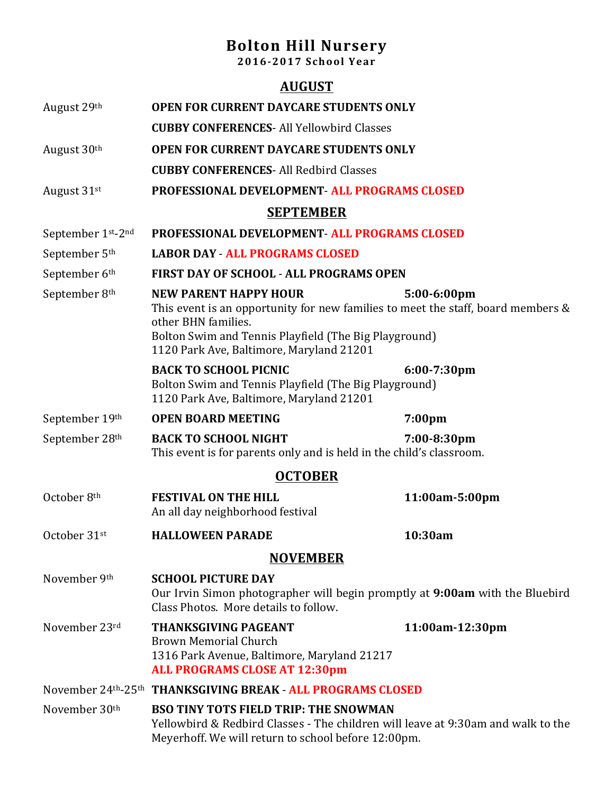## **Bolton Hill Nursery**

**2016-2017 School Year**

|                           | <b>AUGUST</b>                                                                                                                                                                                                                                               |                    |  |  |
|---------------------------|-------------------------------------------------------------------------------------------------------------------------------------------------------------------------------------------------------------------------------------------------------------|--------------------|--|--|
| August 29th               | <b>OPEN FOR CURRENT DAYCARE STUDENTS ONLY</b><br><b>CUBBY CONFERENCES- All Yellowbird Classes</b>                                                                                                                                                           |                    |  |  |
|                           |                                                                                                                                                                                                                                                             |                    |  |  |
| August 30 <sup>th</sup>   | <b>OPEN FOR CURRENT DAYCARE STUDENTS ONLY</b>                                                                                                                                                                                                               |                    |  |  |
|                           | <b>CUBBY CONFERENCES-All Redbird Classes</b>                                                                                                                                                                                                                |                    |  |  |
| August 31st               | <b>PROFESSIONAL DEVELOPMENT- ALL PROGRAMS CLOSED</b>                                                                                                                                                                                                        |                    |  |  |
| <b>SEPTEMBER</b>          |                                                                                                                                                                                                                                                             |                    |  |  |
| September 1st-2nd         | PROFESSIONAL DEVELOPMENT - ALL PROGRAMS CLOSED                                                                                                                                                                                                              |                    |  |  |
| September 5 <sup>th</sup> | <b>LABOR DAY - ALL PROGRAMS CLOSED</b>                                                                                                                                                                                                                      |                    |  |  |
| September 6th             | <b>FIRST DAY OF SCHOOL - ALL PROGRAMS OPEN</b>                                                                                                                                                                                                              |                    |  |  |
| September 8th             | <b>NEW PARENT HAPPY HOUR</b><br>5:00-6:00pm<br>This event is an opportunity for new families to meet the staff, board members &<br>other BHN families.<br>Bolton Swim and Tennis Playfield (The Big Playground)<br>1120 Park Ave, Baltimore, Maryland 21201 |                    |  |  |
|                           | <b>BACK TO SCHOOL PICNIC</b><br>Bolton Swim and Tennis Playfield (The Big Playground)<br>1120 Park Ave, Baltimore, Maryland 21201                                                                                                                           | $6:00-7:30$ pm     |  |  |
| September 19th            | <b>OPEN BOARD MEETING</b>                                                                                                                                                                                                                                   | 7:00 <sub>pm</sub> |  |  |
| September 28th            | <b>BACK TO SCHOOL NIGHT</b><br>This event is for parents only and is held in the child's classroom.                                                                                                                                                         | 7:00-8:30pm        |  |  |
|                           | <b>OCTOBER</b>                                                                                                                                                                                                                                              |                    |  |  |
| October 8th               | <b>FESTIVAL ON THE HILL</b><br>An all day neighborhood festival                                                                                                                                                                                             | 11:00am-5:00pm     |  |  |
| October 31st              | <b>HALLOWEEN PARADE</b>                                                                                                                                                                                                                                     | 10:30am            |  |  |
| <b>NOVEMBER</b>           |                                                                                                                                                                                                                                                             |                    |  |  |
| November 9th              | <b>SCHOOL PICTURE DAY</b><br>Our Irvin Simon photographer will begin promptly at 9:00am with the Bluebird<br>Class Photos. More details to follow.                                                                                                          |                    |  |  |
| November 23rd             | <b>THANKSGIVING PAGEANT</b><br><b>Brown Memorial Church</b><br>1316 Park Avenue, Baltimore, Maryland 21217<br><b>ALL PROGRAMS CLOSE AT 12:30pm</b>                                                                                                          | 11:00am-12:30pm    |  |  |
|                           | November 24th-25th THANKSGIVING BREAK - ALL PROGRAMS CLOSED                                                                                                                                                                                                 |                    |  |  |
| November 30th             | <b>BSO TINY TOTS FIELD TRIP: THE SNOWMAN</b><br>Yellowbird & Redbird Classes - The children will leave at 9:30am and walk to the<br>Meyerhoff. We will return to school before 12:00pm.                                                                     |                    |  |  |